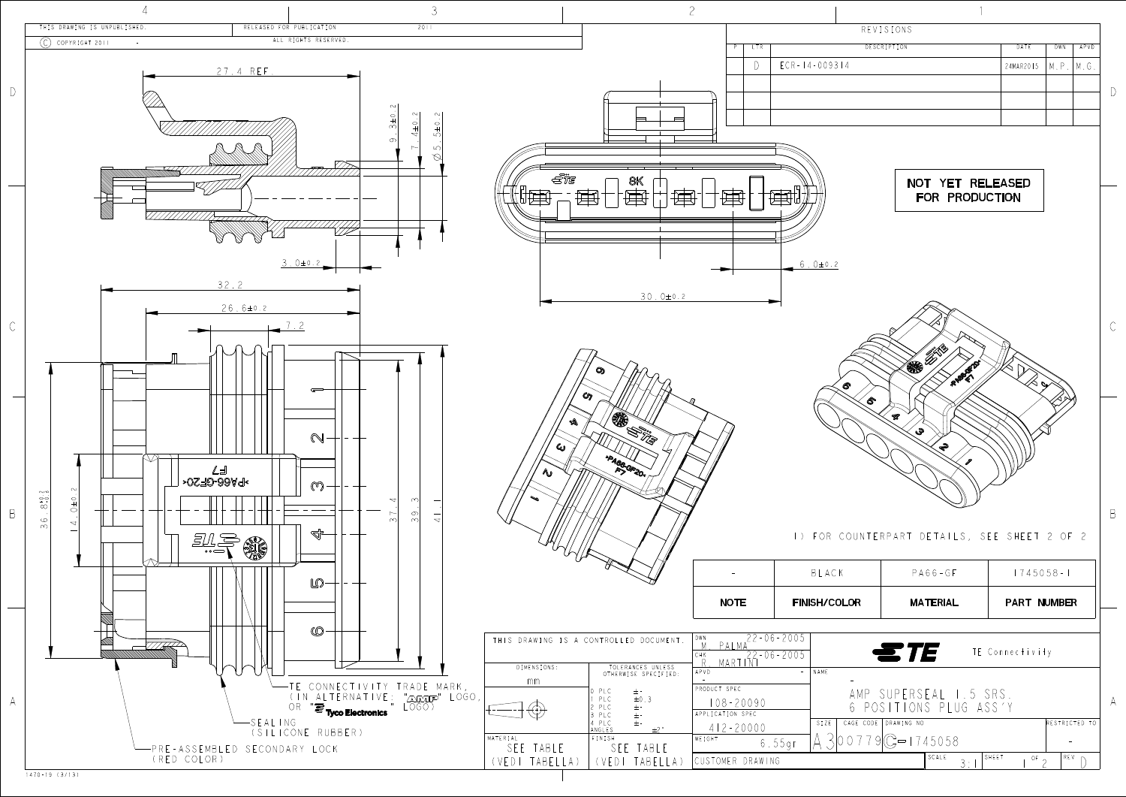| REVISIONS   |                  |            |      |
|-------------|------------------|------------|------|
| DESCRIPTION | DATE             | <b>DWN</b> | APVD |
|             | 24MAR2015   M.P. |            | M.G. |
|             |                  |            |      |
|             |                  |            |      |
|             |                  |            |      |
|             |                  |            |      |

| DR | <b>MATERIAL</b> | <b>PART NUMBER</b> |  |
|----|-----------------|--------------------|--|
|    | $PAG6-GF$       | $1745058 - 1$      |  |

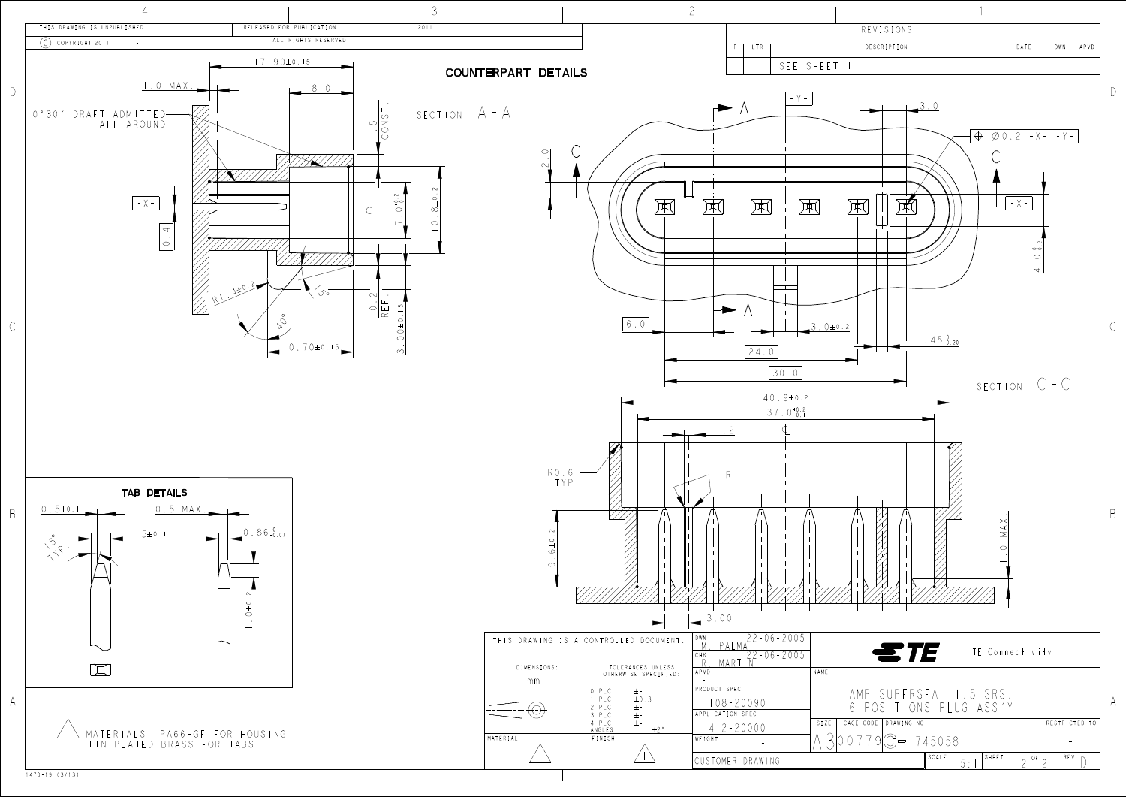